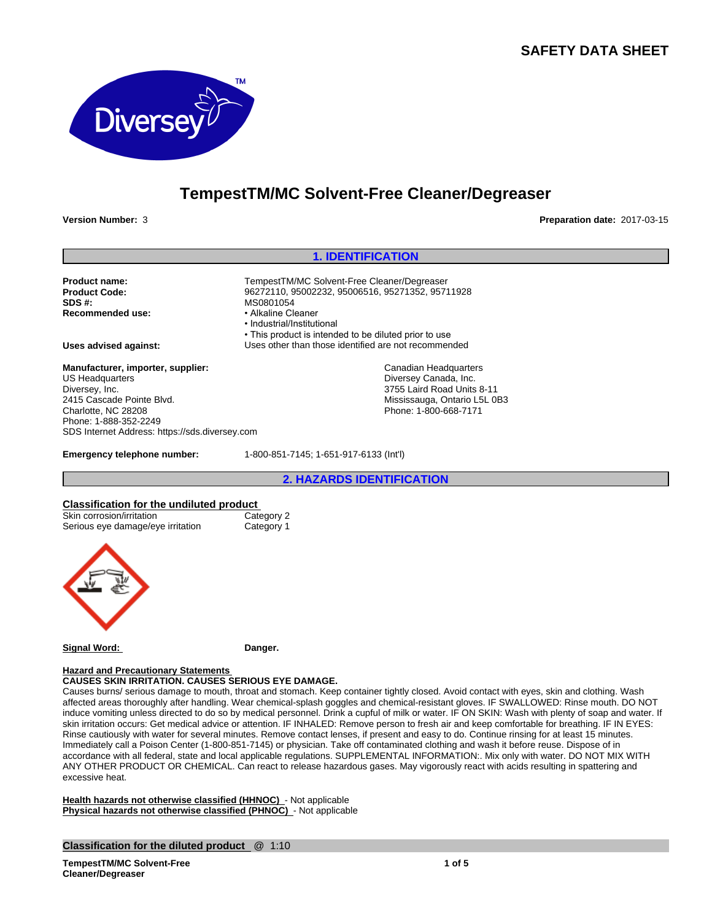# **SAFETY DATA SHEET**



# **TempestTM/MC Solvent-Free Cleaner/Degreaser**

**Version Number:** 3 **Preparation date:** 2017-03-15

#### **1. IDENTIFICATION** Product name:<br> **Product Code:** 
TempestTM/MC Solvent-Free Cleaner/Degreaser<br>
96272110, 95002232, 95006516, 95271352, 9571 **Product Code:** 96272110, 95002232, 95006516, 95271352, 95711928 **MS0801054**<br>• Alkaline Cleaner **Recommended use:** •Industrial/Institutional • This product is intended to be diluted prior to use **Uses advised against:** Uses other than those identified are not recommended **Emergency telephone number:** 1-800-851-7145; 1-651-917-6133 (Int'l) **Manufacturer, importer, supplier:** US Headquarters Diversey, Inc. 2415 Cascade Pointe Blvd. Charlotte, NC 28208 Phone: 1-888-352-2249 SDS Internet Address: https://sds.diversey.com Canadian Headquarters Diversey Canada, Inc. 3755 Laird Road Units 8-11 Mississauga, Ontario L5L 0B3 Phone: 1-800-668-7171

**2. HAZARDS IDENTIFICATION**

# **Classification for the undiluted product**<br>
Skin corrosion/irritation<br>
Category 2

Skin corrosion/irritation<br>
Serious eve damage/eve irritation
Category 1 Serious eye damage/eye irritation



**Signal Word: Danger.**

#### **Hazard and Precautionary Statements**

**CAUSES SKIN IRRITATION. CAUSES SERIOUS EYE DAMAGE.**

Causes burns/ serious damage to mouth, throat and stomach. Keep container tightly closed. Avoid contact with eyes, skin and clothing. Wash affected areas thoroughly after handling. Wear chemical-splash goggles and chemical-resistant gloves. IF SWALLOWED: Rinse mouth. DO NOT induce vomiting unless directed to do so by medical personnel. Drink a cupful of milk or water. IF ON SKIN: Wash with plenty of soap and water. If skin irritation occurs: Get medical advice or attention. IF INHALED: Remove person to fresh air and keep comfortable for breathing. IF IN EYES: Rinse cautiously with water for several minutes. Remove contact lenses, if present and easy to do. Continue rinsing for at least 15 minutes. Immediately call a Poison Center (1-800-851-7145) or physician. Take off contaminated clothing and wash it before reuse. Dispose of in accordance with all federal, state and local applicable regulations. SUPPLEMENTAL INFORMATION:. Mix only with water. DO NOT MIX WITH ANY OTHER PRODUCT OR CHEMICAL. Can react to release hazardous gases. May vigorously react with acids resulting in spattering and excessive heat.

**Health hazards not otherwise classified (HHNOC)** - Not applicable **Physical hazards not otherwise classified (PHNOC)** - Not applicable

#### **Classification for the diluted product** @ 1:10

**TempestTM/MC Solvent-Free Cleaner/Degreaser**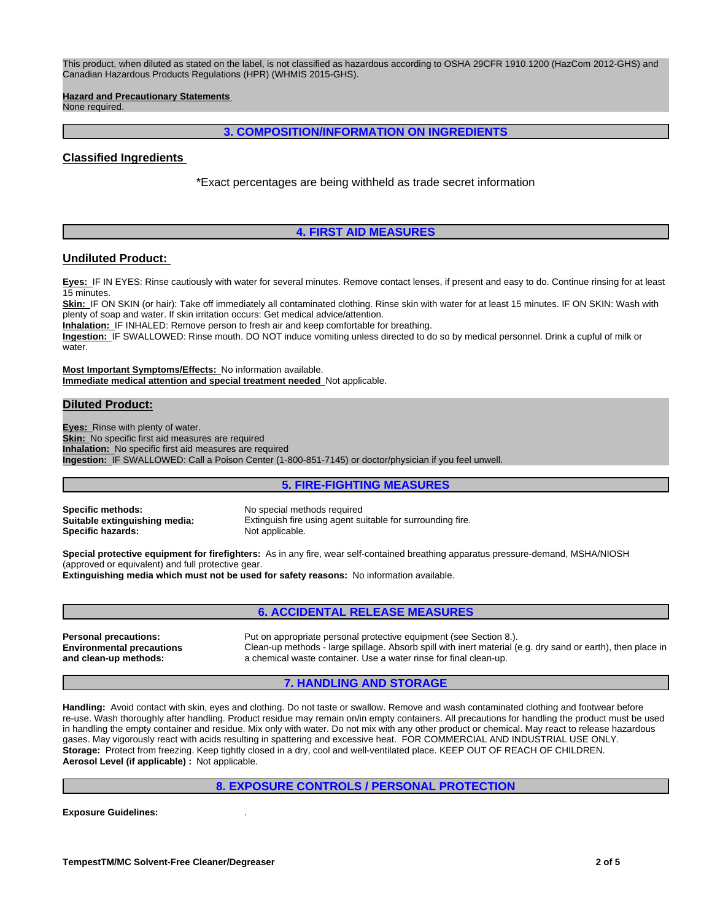This product, when diluted as stated on the label, is not classified as hazardous according to OSHA 29CFR 1910.1200 (HazCom 2012-GHS) and Canadian Hazardous Products Regulations (HPR) (WHMIS 2015-GHS).

**Hazard and Precautionary Statements** 

None required.

### **3. COMPOSITION/INFORMATION ON INGREDIENTS**

## **Classified Ingredients**

\*Exact percentages are being withheld as trade secret information

# **4. FIRST AID MEASURES**

# **Undiluted Product:**

**Eyes:** IF IN EYES: Rinse cautiously with water for several minutes. Remove contact lenses, if present and easy to do. Continue rinsing for at least 15 minutes.

**Skin:** IF ON SKIN (or hair): Take off immediately all contaminated clothing. Rinse skin with water for at least 15 minutes. IF ON SKIN: Wash with plenty of soap and water. If skin irritation occurs: Get medical advice/attention.

**Inhalation:** IF INHALED: Remove person to fresh air and keep comfortable for breathing.

**Ingestion:** IF SWALLOWED: Rinse mouth. DO NOT induce vomiting unless directed to do so by medical personnel. Drink a cupful of milk or water.

**Most Important Symptoms/Effects:** No information available. **Immediate medical attention and special treatment needed** Not applicable.

#### **Diluted Product:**

**Eyes:** Rinse with plenty of water. **Skin:** No specific first aid measures are required **Inhalation:** No specific first aid measures are required **Ingestion:** IF SWALLOWED: Call a Poison Center (1-800-851-7145) or doctor/physician if you feel unwell.

# **5. FIRE-FIGHTING MEASURES**

**Specific methods:** No special methods required **Specific hazards:** 

**Suitable extinguishing media:** Extinguish fire using agent suitable for surrounding fire.<br>
Specific hazards: Not applicable.

**Special protective equipment for firefighters:** As in any fire, wear self-contained breathing apparatus pressure-demand, MSHA/NIOSH (approved or equivalent) and full protective gear. **Extinguishing media which must not be used for safety reasons:** No information available.

#### **6. ACCIDENTAL RELEASE MEASURES**

**Environmental precautions and clean-up methods:**

**Personal precautions:** Put on appropriate personal protective equipment (see Section 8.). Clean-up methods - large spillage. Absorb spill with inert material (e.g. dry sand or earth), then place in a chemical waste container. Use a water rinse for final clean-up.

#### **7. HANDLING AND STORAGE**

**Handling:** Avoid contact with skin, eyes and clothing. Do not taste or swallow. Remove and wash contaminated clothing and footwear before re-use. Wash thoroughly after handling. Product residue may remain on/in empty containers. All precautions for handling the product must be used in handling the empty container and residue. Mix only with water. Do not mix with any other product or chemical. May react to release hazardous gases. May vigorously react with acids resulting in spattering and excessive heat. FOR COMMERCIAL AND INDUSTRIAL USE ONLY. **Storage:** Protect from freezing. Keep tightly closed in a dry, cool and well-ventilated place. KEEP OUT OF REACH OF CHILDREN. **Aerosol Level (if applicable) :** Not applicable.

#### **8. EXPOSURE CONTROLS / PERSONAL PROTECTION**

**Exposure Guidelines:** .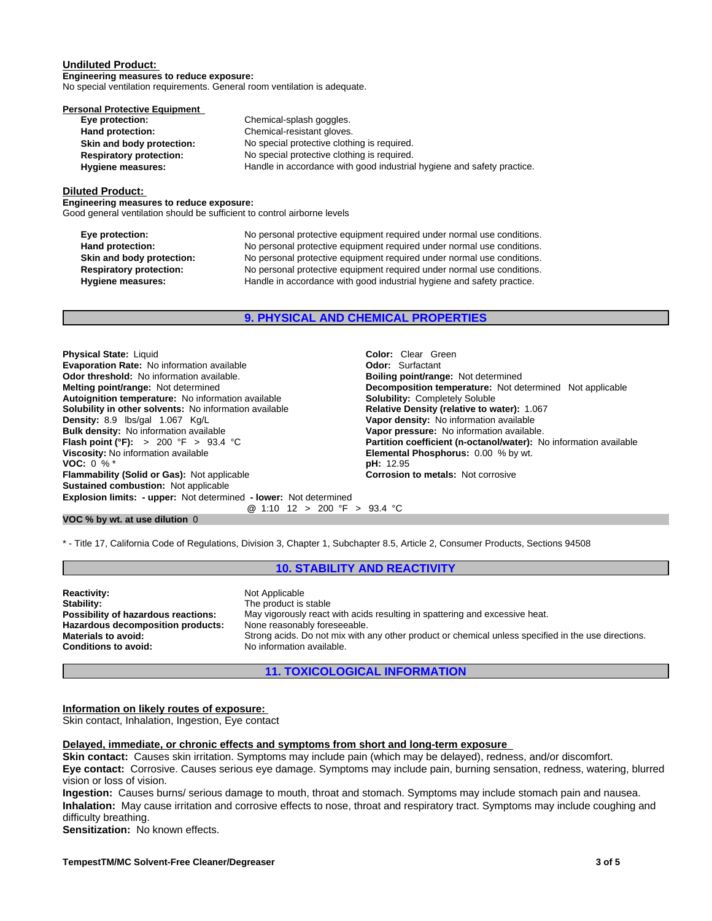#### **Undiluted Product:**

**Engineering measures to reduce exposure:** No special ventilation requirements. General room ventilation is adequate.

| <b>Personal Protective Equipment</b> |                                                                        |
|--------------------------------------|------------------------------------------------------------------------|
| Eye protection:                      | Chemical-splash goggles.                                               |
| Hand protection:                     | Chemical-resistant gloves.                                             |
| Skin and body protection:            | No special protective clothing is required.                            |
| <b>Respiratory protection:</b>       | No special protective clothing is required.                            |
| <b>Hygiene measures:</b>             | Handle in accordance with good industrial hygiene and safety practice. |
|                                      |                                                                        |

#### **Diluted Product:**

**Engineering measures to reduce exposure:** Good general ventilation should be sufficient to control airborne levels

| Eye protection:<br>Hand protection: | No personal protective equipment required under normal use conditions.<br>No personal protective equipment required under normal use conditions. |
|-------------------------------------|--------------------------------------------------------------------------------------------------------------------------------------------------|
| Skin and body protection:           | No personal protective equipment required under normal use conditions.                                                                           |
| <b>Respiratory protection:</b>      | No personal protective equipment required under normal use conditions.                                                                           |
| <b>Hygiene measures:</b>            | Handle in accordance with good industrial hygiene and safety practice.                                                                           |

**9. PHYSICAL AND CHEMICAL PROPERTIES**

**Explosion limits: - upper:** Not determined **- lower:** Not determined **@** 1:10 12 > 200 °F > 93.4 °C **Physical State:** Liquid **Color:** Clear Green<br> **Evaporation Rate:** No information available **Color:** Color: Surfactant **Evaporation Rate:** No information available **Concernantial Concernantial Codor:** Surfactant **Odor: Odor: Notifactant Odor threshold:** No information available. **Concernantial Bolling point/range:** Not determined **Odor threshold: No information available.**<br>**Melting point/range: Not determined Autoignition temperature:** No information available **Solubility:** Completely Soluble **Solubility in other solvents:** No information available **Density:** 8.9 lbs/gal 1.067 Kg/L **Bulk density:** No information available<br>**Flash point (°F):** > 200 °F > 93.4 °C **Flash point (°F):** > 200 °F > 93.4 °C **Partition coefficient (n-octanol/water):** No information available **Viscosity:** No information available **Viscosity:** No information available **Viscosity:** No information available **VOC:** 0 % \* **pH:** 12.95 **Flammability (Solid or Gas):** Not applicable **Corrosion to metals:** Not corrosive **Sustained combustion:** Not applicable

**Decomposition temperature:** Not determined Not applicable **Vapor density:** No information available<br>**Vapor pressure:** No information available. **Elemental Phosphorus:** 0.00 % by wt.

#### **VOC % by wt. at use dilution** 0

\* - Title 17, California Code of Regulations, Division 3, Chapter 1, Subchapter 8.5, Article 2, Consumer Products, Sections 94508

#### **10. STABILITY AND REACTIVITY**

**Reactivity:** Not Applicable **Stability:** Not Applicable Stability: **Stability:** The product is stable<br> **Possibility of hazardous reactions:** May vigorously react **Hazardous decomposition products:**<br>Materials to avoid:

May vigorously react with acids resulting in spattering and excessive heat.<br>None reasonably foreseeable. **Materials to avoid:** Strong acids. Do not mix with any other product or chemical unless specified in the use directions.<br> **Conditions to avoid:** No information available. **Conditions to avoid:** No information available.

**11. TOXICOLOGICAL INFORMATION**

**Information on likely routes of exposure:**

Skin contact, Inhalation, Ingestion, Eye contact

# **Delayed, immediate, or chronic effects and symptoms from short and long-term exposure**

**Skin contact:** Causes skin irritation. Symptoms may include pain (which may be delayed), redness, and/or discomfort. **Eye contact:** Corrosive. Causes serious eye damage. Symptoms may include pain, burning sensation, redness, watering, blurred vision or loss of vision.

**Ingestion:** Causes burns/ serious damage to mouth, throat and stomach. Symptoms may include stomach pain and nausea. **Inhalation:** May cause irritation and corrosive effects to nose, throat and respiratory tract. Symptoms may include coughing and difficulty breathing.

**Sensitization:** No known effects.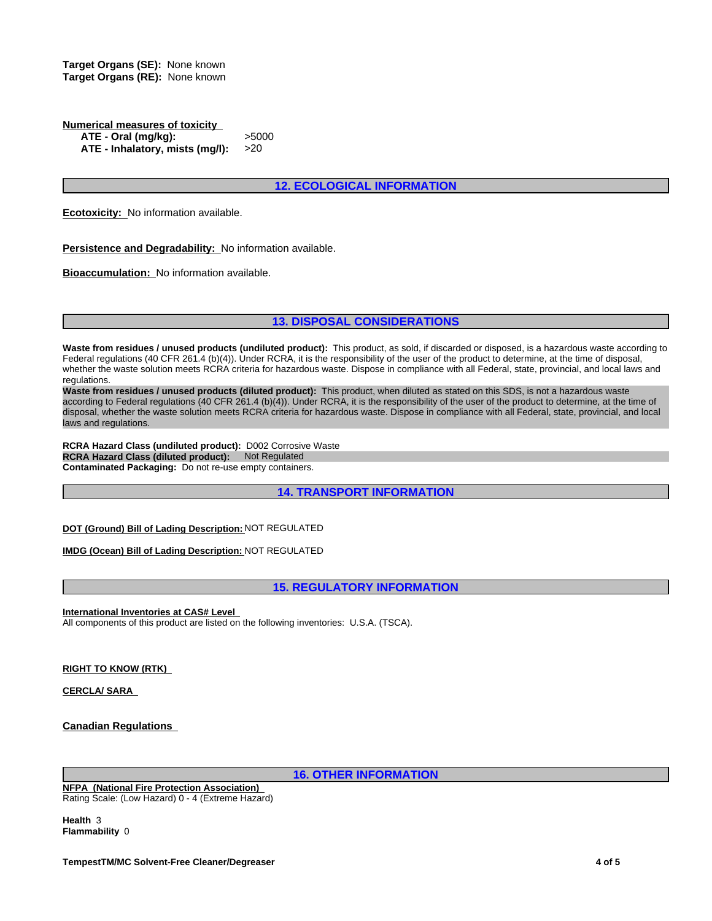**Target Organs (SE):** None known **Target Organs (RE):** None known

**Numerical measures of toxicity ATE - Oral (mg/kg):** >5000 **ATE - Inhalatory, mists (mg/l):** >20

# **12. ECOLOGICAL INFORMATION**

**Ecotoxicity:** No information available.

**Persistence and Degradability:** No information available.

**Bioaccumulation:** No information available.

# **13. DISPOSAL CONSIDERATIONS**

**Waste from residues / unused products (undiluted product):** This product, as sold, if discarded or disposed, is a hazardous waste according to Federal regulations (40 CFR 261.4 (b)(4)). Under RCRA, it is the responsibility of the user of the product to determine, at the time of disposal, whether the waste solution meets RCRA criteria for hazardous waste. Dispose in compliance with all Federal, state, provincial, and local laws and regulations.

**Waste from residues / unused products (diluted product):** This product, when diluted as stated on this SDS, is not a hazardous waste according to Federal regulations (40 CFR 261.4 (b)(4)). Under RCRA, it is the responsibility of the user of the product to determine, at the time of disposal, whether the waste solution meets RCRA criteria for hazardous waste. Dispose in compliance with all Federal, state, provincial, and local laws and regulations.

**RCRA Hazard Class (undiluted product):** D002 Corrosive Waste **RCRA Hazard Class (diluted product): Not Regulated Contaminated Packaging:** Do not re-use empty containers.

**14. TRANSPORT INFORMATION**

**DOT (Ground) Bill of Lading Description:** NOT REGULATED

**IMDG (Ocean) Bill of Lading Description:** NOT REGULATED

**15. REGULATORY INFORMATION**

**International Inventories at CAS# Level**  All components of this product are listed on the following inventories: U.S.A. (TSCA).

**RIGHT TO KNOW (RTK)** 

**CERCLA/ SARA** 

**Canadian Regulations**

**16. OTHER INFORMATION**

**NFPA (National Fire Protection Association)**  Rating Scale: (Low Hazard) 0 - 4 (Extreme Hazard)

**Health** 3 **Flammability** 0

**TempestTM/MC Solvent-Free Cleaner/Degreaser 4 of 5**